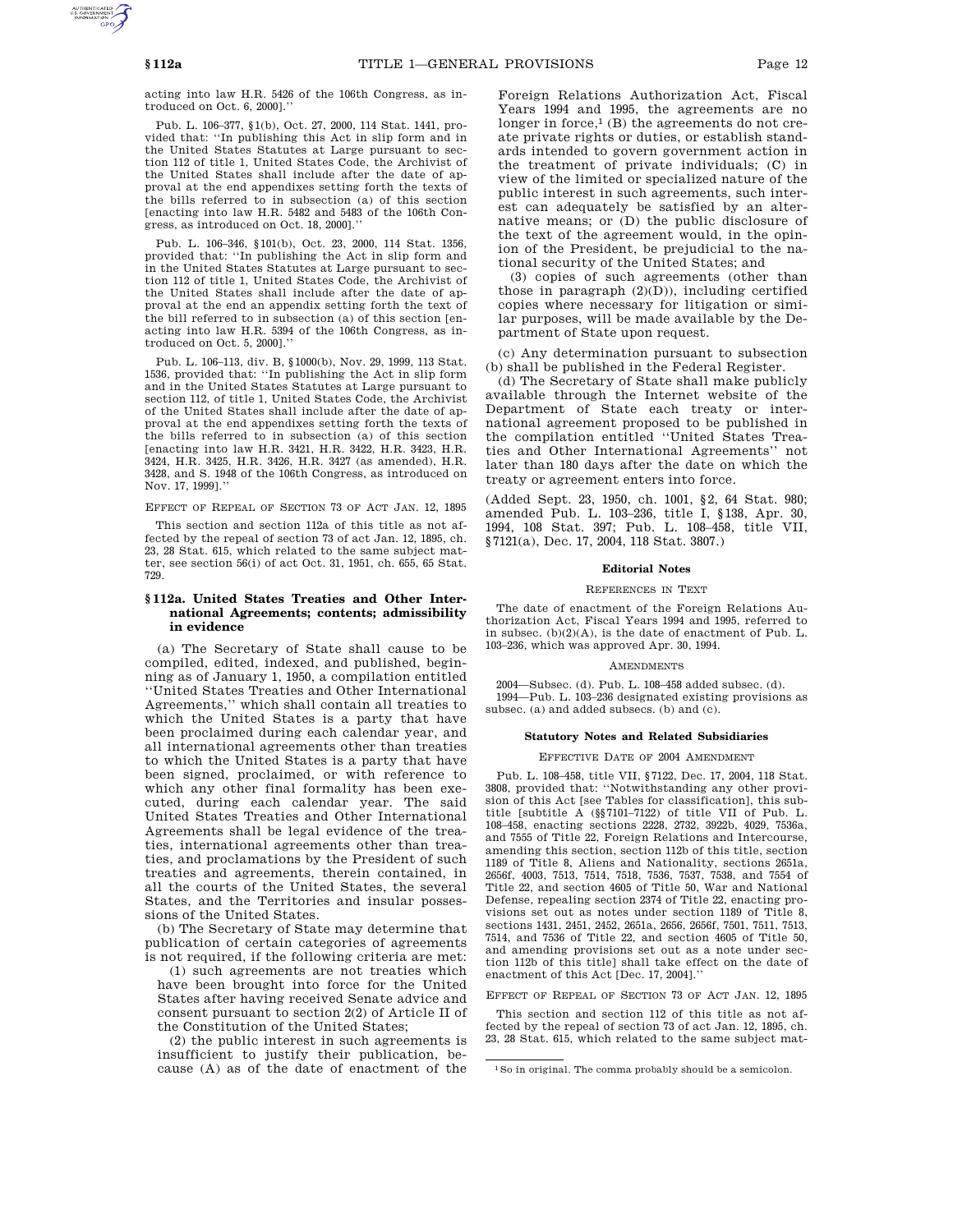acting into law H.R. 5426 of the 106th Congress, as introduced on Oct. 6, 2000].''

Pub. L. 106–377, §1(b), Oct. 27, 2000, 114 Stat. 1441, provided that: ''In publishing this Act in slip form and in the United States Statutes at Large pursuant to section 112 of title 1, United States Code, the Archivist of the United States shall include after the date of approval at the end appendixes setting forth the texts of the bills referred to in subsection (a) of this section [enacting into law H.R. 5482 and 5483 of the 106th Congress, as introduced on Oct. 18, 2000].''

Pub. L. 106–346, §101(b), Oct. 23, 2000, 114 Stat. 1356, provided that: ''In publishing the Act in slip form and in the United States Statutes at Large pursuant to section 112 of title 1, United States Code, the Archivist of the United States shall include after the date of approval at the end an appendix setting forth the text of the bill referred to in subsection (a) of this section [enacting into law H.R. 5394 of the 106th Congress, as introduced on Oct. 5, 2000].''

Pub. L. 106–113, div. B, §1000(b), Nov. 29, 1999, 113 Stat. 1536, provided that: ''In publishing the Act in slip form and in the United States Statutes at Large pursuant to section 112, of title 1, United States Code, the Archivist of the United States shall include after the date of approval at the end appendixes setting forth the texts of the bills referred to in subsection (a) of this section [enacting into law H.R. 3421, H.R. 3422, H.R. 3423, H.R. 3424, H.R. 3425, H.R. 3426, H.R. 3427 (as amended), H.R. 3428, and S. 1948 of the 106th Congress, as introduced on Nov. 17, 1999].''

EFFECT OF REPEAL OF SECTION 73 OF ACT JAN. 12, 1895

This section and section 112a of this title as not affected by the repeal of section 73 of act Jan. 12, 1895, ch. 23, 28 Stat. 615, which related to the same subject matter, see section 56(i) of act Oct. 31, 1951, ch. 655, 65 Stat. 729.

# **§ 112a. United States Treaties and Other International Agreements; contents; admissibility in evidence**

(a) The Secretary of State shall cause to be compiled, edited, indexed, and published, beginning as of January 1, 1950, a compilation entitled ''United States Treaties and Other International Agreements,'' which shall contain all treaties to which the United States is a party that have been proclaimed during each calendar year, and all international agreements other than treaties to which the United States is a party that have been signed, proclaimed, or with reference to which any other final formality has been executed, during each calendar year. The said United States Treaties and Other International Agreements shall be legal evidence of the treaties, international agreements other than treaties, and proclamations by the President of such treaties and agreements, therein contained, in all the courts of the United States, the several States, and the Territories and insular possessions of the United States.

(b) The Secretary of State may determine that publication of certain categories of agreements is not required, if the following criteria are met:

(1) such agreements are not treaties which have been brought into force for the United States after having received Senate advice and consent pursuant to section 2(2) of Article II of the Constitution of the United States;

(2) the public interest in such agreements is insufficient to justify their publication, because (A) as of the date of enactment of the

Foreign Relations Authorization Act, Fiscal Years 1994 and 1995, the agreements are no longer in force, $<sup>1</sup>$  (B) the agreements do not cre-</sup> ate private rights or duties, or establish standards intended to govern government action in the treatment of private individuals; (C) in view of the limited or specialized nature of the public interest in such agreements, such interest can adequately be satisfied by an alternative means; or (D) the public disclosure of the text of the agreement would, in the opinion of the President, be prejudicial to the national security of the United States; and

(3) copies of such agreements (other than those in paragraph  $(2)(D)$ ), including certified copies where necessary for litigation or similar purposes, will be made available by the Department of State upon request.

(c) Any determination pursuant to subsection (b) shall be published in the Federal Register.

(d) The Secretary of State shall make publicly available through the Internet website of the Department of State each treaty or international agreement proposed to be published in the compilation entitled ''United States Treaties and Other International Agreements'' not later than 180 days after the date on which the treaty or agreement enters into force.

(Added Sept. 23, 1950, ch. 1001, §2, 64 Stat. 980; amended Pub. L. 103–236, title I, §138, Apr. 30, 1994, 108 Stat. 397; Pub. L. 108–458, title VII, §7121(a), Dec. 17, 2004, 118 Stat. 3807.)

#### **Editorial Notes**

### REFERENCES IN TEXT

The date of enactment of the Foreign Relations Authorization Act, Fiscal Years 1994 and 1995, referred to in subsec.  $(b)(2)(A)$ , is the date of enactment of Pub. L. 103–236, which was approved Apr. 30, 1994.

### **AMENDMENTS**

2004—Subsec. (d). Pub. L. 108–458 added subsec. (d). 1994—Pub. L. 103–236 designated existing provisions as subsec. (a) and added subsecs. (b) and (c).

#### **Statutory Notes and Related Subsidiaries**

### EFFECTIVE DATE OF 2004 AMENDMENT

Pub. L. 108–458, title VII, §7122, Dec. 17, 2004, 118 Stat. 3808, provided that: ''Notwithstanding any other provision of this Act [see Tables for classification], this subtitle [subtitle A (§§7101–7122) of title VII of Pub. L. 108–458, enacting sections 2228, 2732, 3922b, 4029, 7536a, and 7555 of Title 22, Foreign Relations and Intercourse, amending this section, section 112b of this title, section 1189 of Title 8, Aliens and Nationality, sections 2651a, 2656f, 4003, 7513, 7514, 7518, 7536, 7537, 7538, and 7554 of Title 22, and section 4605 of Title 50, War and National Defense, repealing section 2374 of Title 22, enacting provisions set out as notes under section 1189 of Title 8, sections 1431, 2451, 2452, 2651a, 2656, 2656f, 7501, 7511, 7513, 7514, and 7536 of Title 22, and section 4605 of Title 50, and amending provisions set out as a note under section 112b of this title] shall take effect on the date of enactment of this Act [Dec. 17, 2004].''

EFFECT OF REPEAL OF SECTION 73 OF ACT JAN. 12, 1895

This section and section 112 of this title as not affected by the repeal of section 73 of act Jan. 12, 1895, ch. 23, 28 Stat. 615, which related to the same subject mat-

<sup>1</sup>So in original. The comma probably should be a semicolon.